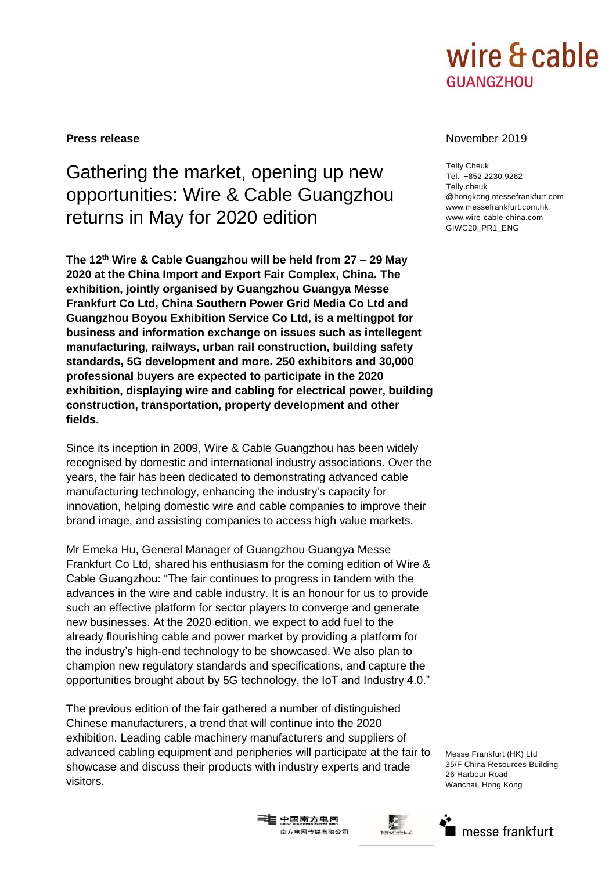

# Gathering the market, opening up new opportunities: Wire & Cable Guangzhou returns in May for 2020 edition

**The 12th Wire & Cable Guangzhou will be held from 27 – 29 May 2020 at the China Import and Export Fair Complex, China. The exhibition, jointly organised by Guangzhou Guangya Messe Frankfurt Co Ltd, China Southern Power Grid Media Co Ltd and Guangzhou Boyou Exhibition Service Co Ltd, is a meltingpot for business and information exchange on issues such as intellegent manufacturing, railways, urban rail construction, building safety standards, 5G development and more. 250 exhibitors and 30,000 professional buyers are expected to participate in the 2020 exhibition, displaying wire and cabling for electrical power, building construction, transportation, property development and other fields.**

Since its inception in 2009, Wire & Cable Guangzhou has been widely recognised by domestic and international industry associations. Over the years, the fair has been dedicated to demonstrating advanced cable manufacturing technology, enhancing the industry's capacity for innovation, helping domestic wire and cable companies to improve their brand image, and assisting companies to access high value markets.

Mr Emeka Hu, General Manager of Guangzhou Guangya Messe Frankfurt Co Ltd, shared his enthusiasm for the coming edition of Wire & Cable Guangzhou: "The fair continues to progress in tandem with the advances in the wire and cable industry. It is an honour for us to provide such an effective platform for sector players to converge and generate new businesses. At the 2020 edition, we expect to add fuel to the already flourishing cable and power market by providing a platform for the industry's high-end technology to be showcased. We also plan to champion new regulatory standards and specifications, and capture the opportunities brought about by 5G technology, the IoT and Industry 4.0."

The previous edition of the fair gathered a number of distinguished Chinese manufacturers, a trend that will continue into the 2020 exhibition. Leading cable machinery manufacturers and suppliers of advanced cabling equipment and peripheries will participate at the fair to showcase and discuss their products with industry experts and trade visitors.

### **Press release** November 2019

Telly Cheuk Tel. +852 2230 9262 Telly.cheuk @hongkong.messefrankfurt.com www.messefrankfurt.com.hk www.wire-cable-china.com GIWC20\_PR1\_ENG

Messe Frankfurt (HK) Ltd 35/F China Resources Building 26 Harbour Road Wanchai, Hong Kong





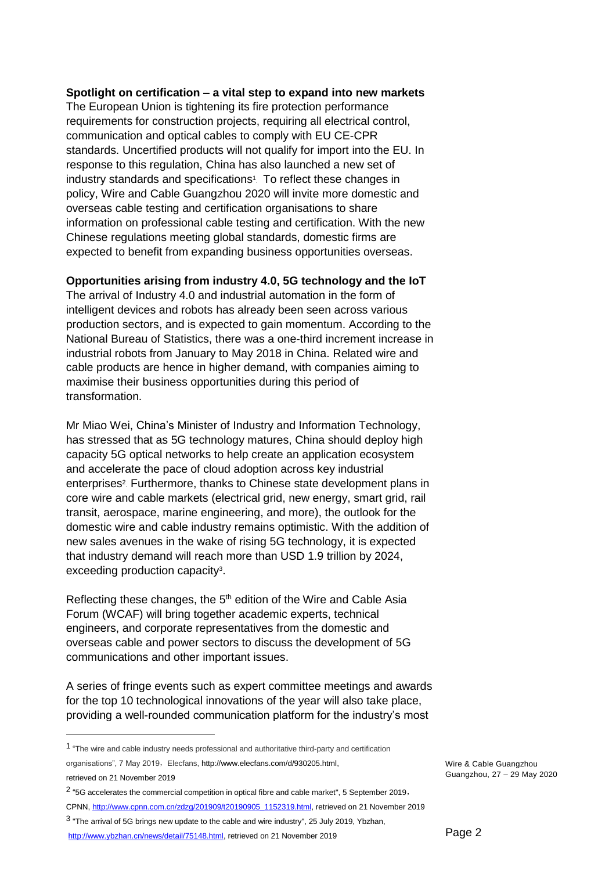## **Spotlight on certification – a vital step to expand into new markets**

The European Union is tightening its fire protection performance requirements for construction projects, requiring all electrical control, communication and optical cables to comply with EU CE-CPR standards. Uncertified products will not qualify for import into the EU. In response to this regulation, China has also launched a new set of industry standards and specifications<sup>1</sup>. To reflect these changes in policy, Wire and Cable Guangzhou 2020 will invite more domestic and overseas cable testing and certification organisations to share information on professional cable testing and certification. With the new Chinese regulations meeting global standards, domestic firms are expected to benefit from expanding business opportunities overseas.

# **Opportunities arising from industry 4.0, 5G technology and the IoT**

The arrival of Industry 4.0 and industrial automation in the form of intelligent devices and robots has already been seen across various production sectors, and is expected to gain momentum. According to the National Bureau of Statistics, there was a one-third increment increase in industrial robots from January to May 2018 in China. Related wire and cable products are hence in higher demand, with companies aiming to maximise their business opportunities during this period of transformation.

Mr Miao Wei, China's Minister of Industry and Information Technology, has stressed that as 5G technology matures, China should deploy high capacity 5G optical networks to help create an application ecosystem and accelerate the pace of cloud adoption across key industrial enterprises<sup>2</sup>. Furthermore, thanks to Chinese state development plans in core wire and cable markets (electrical grid, new energy, smart grid, rail transit, aerospace, marine engineering, and more), the outlook for the domestic wire and cable industry remains optimistic. With the addition of new sales avenues in the wake of rising 5G technology, it is expected that industry demand will reach more than USD 1.9 trillion by 2024, exceeding production capacity<sup>3</sup>.

Reflecting these changes, the 5<sup>th</sup> edition of the Wire and Cable Asia Forum (WCAF) will bring together academic experts, technical engineers, and corporate representatives from the domestic and overseas cable and power sectors to discuss the development of 5G communications and other important issues.

A series of fringe events such as expert committee meetings and awards for the top 10 technological innovations of the year will also take place, providing a well-rounded communication platform for the industry's most

<sup>&</sup>lt;sup>1</sup> "The wire and cable industry needs professional and authoritative third-party and certification organisations", 7 May 2019, Elecfans[, http://www.elecfans.com/d/930205.html,](http://www.elecfans.com/d/930205.html)

retrieved on 21 November 2019

<sup>2</sup> "5G accelerates the commercial competition in optical fibre and cable market", 5 September 2019, CPNN[, http://www.cpnn.com.cn/zdzg/201909/t20190905\\_1152319.html,](http://www.cpnn.com.cn/zdzg/201909/t20190905_1152319.html) retrieved on 21 November 2019

<sup>3</sup> "The arrival of 5G brings new update to the cable and wire industry", 25 July 2019, Ybzhan,

[http://www.ybzhan.cn/news/detail/75148.html,](http://www.ybzhan.cn/news/detail/75148.html) retrieved on 21 November 2019